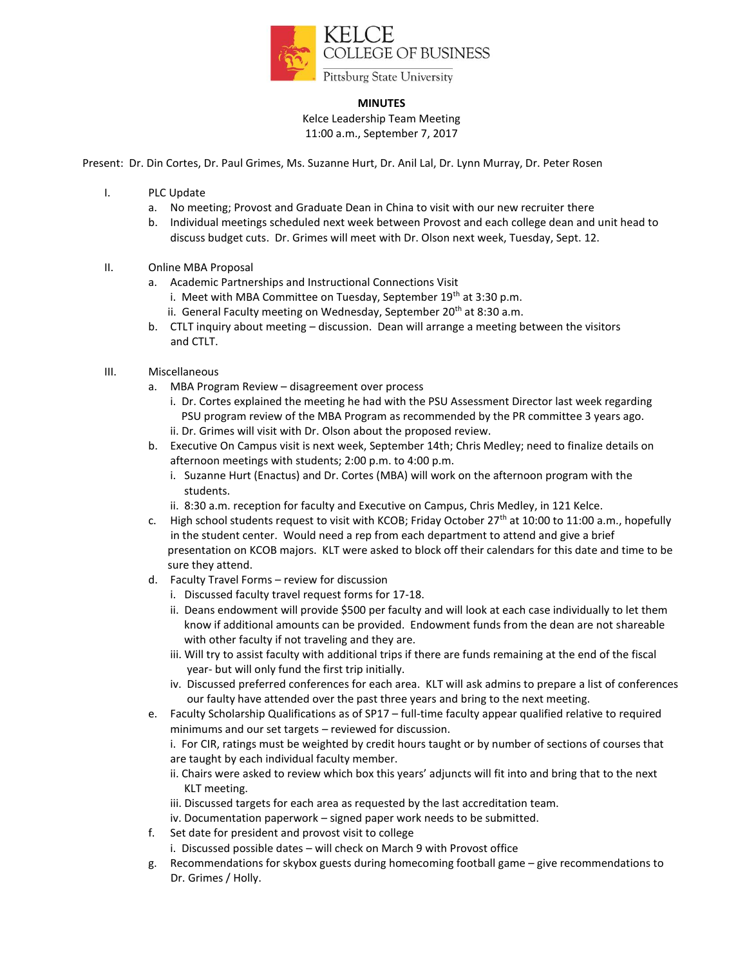

## **MINUTES**

Kelce Leadership Team Meeting 11:00 a.m., September 7, 2017

Present: Dr. Din Cortes, Dr. Paul Grimes, Ms. Suzanne Hurt, Dr. Anil Lal, Dr. Lynn Murray, Dr. Peter Rosen

- I. PLC Update
	- a. No meeting; Provost and Graduate Dean in China to visit with our new recruiter there
	- b. Individual meetings scheduled next week between Provost and each college dean and unit head to discuss budget cuts. Dr. Grimes will meet with Dr. Olson next week, Tuesday, Sept. 12.
- II. Online MBA Proposal
	- a. Academic Partnerships and Instructional Connections Visit
		- i. Meet with MBA Committee on Tuesday, September  $19<sup>th</sup>$  at 3:30 p.m.
		- ii. General Faculty meeting on Wednesday, September  $20<sup>th</sup>$  at 8:30 a.m.
	- b. CTLT inquiry about meeting discussion. Dean will arrange a meeting between the visitors and CTLT.
- III. Miscellaneous
	- a. MBA Program Review disagreement over process
		- i. Dr. Cortes explained the meeting he had with the PSU Assessment Director last week regarding PSU program review of the MBA Program as recommended by the PR committee 3 years ago.
		- ii. Dr. Grimes will visit with Dr. Olson about the proposed review.
	- b. Executive On Campus visit is next week, September 14th; Chris Medley; need to finalize details on afternoon meetings with students; 2:00 p.m. to 4:00 p.m.
		- i. Suzanne Hurt (Enactus) and Dr. Cortes (MBA) will work on the afternoon program with the students.
		- ii. 8:30 a.m. reception for faculty and Executive on Campus, Chris Medley, in 121 Kelce.
	- c. High school students request to visit with KCOB; Friday October 27<sup>th</sup> at 10:00 to 11:00 a.m., hopefully in the student center. Would need a rep from each department to attend and give a brief presentation on KCOB majors. KLT were asked to block off their calendars for this date and time to be sure they attend.
	- d. Faculty Travel Forms review for discussion
		- i. Discussed faculty travel request forms for 17-18.
		- ii. Deans endowment will provide \$500 per faculty and will look at each case individually to let them know if additional amounts can be provided. Endowment funds from the dean are not shareable with other faculty if not traveling and they are.
		- iii. Will try to assist faculty with additional trips if there are funds remaining at the end of the fiscal year- but will only fund the first trip initially.
		- iv. Discussed preferred conferences for each area. KLT will ask admins to prepare a list of conferences our faulty have attended over the past three years and bring to the next meeting.
	- e. Faculty Scholarship Qualifications as of SP17 full-time faculty appear qualified relative to required minimums and our set targets – reviewed for discussion.

i. For CIR, ratings must be weighted by credit hours taught or by number of sections of courses that are taught by each individual faculty member.

- ii. Chairs were asked to review which box this years' adjuncts will fit into and bring that to the next KLT meeting.
- iii. Discussed targets for each area as requested by the last accreditation team.
- iv. Documentation paperwork signed paper work needs to be submitted.
- f. Set date for president and provost visit to college
	- i. Discussed possible dates will check on March 9 with Provost office
- g. Recommendations for skybox guests during homecoming football game give recommendations to Dr. Grimes / Holly.